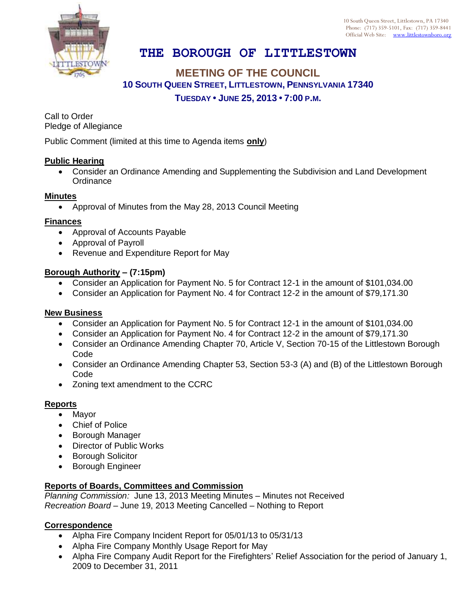10 South Queen Street, Littlestown, PA 17340 Phone: (717) 359-5101, Fax: (717) 359-8441 Official Web Site: [www.littlestownboro.org](http://www.littlestown.us/)



# **THE BOROUGH OF LITTLESTOWN**

## **MEETING OF THE COUNCIL 10 SOUTH QUEEN STREET, LITTLESTOWN, PENNSYLVANIA 17340 TUESDAY • JUNE 25, 2013 • 7:00 P.M.**

Call to Order Pledge of Allegiance

Public Comment (limited at this time to Agenda items **only**)

#### **Public Hearing**

 Consider an Ordinance Amending and Supplementing the Subdivision and Land Development **Ordinance** 

#### **Minutes**

Approval of Minutes from the May 28, 2013 Council Meeting

#### **Finances**

- Approval of Accounts Payable
- Approval of Payroll
- Revenue and Expenditure Report for May

#### **Borough Authority – (7:15pm)**

- Consider an Application for Payment No. 5 for Contract 12-1 in the amount of \$101,034.00
- Consider an Application for Payment No. 4 for Contract 12-2 in the amount of \$79,171.30

### **New Business**

- Consider an Application for Payment No. 5 for Contract 12-1 in the amount of \$101,034.00
- Consider an Application for Payment No. 4 for Contract 12-2 in the amount of \$79,171.30
- Consider an Ordinance Amending Chapter 70, Article V, Section 70-15 of the Littlestown Borough Code
- Consider an Ordinance Amending Chapter 53, Section 53-3 (A) and (B) of the Littlestown Borough Code
- Zoning text amendment to the CCRC

### **Reports**

- Mayor
- Chief of Police
- Borough Manager
- Director of Public Works
- Borough Solicitor
- **•** Borough Engineer

### **Reports of Boards, Committees and Commission**

*Planning Commission:* June 13, 2013 Meeting Minutes – Minutes not Received *Recreation Board* – June 19, 2013 Meeting Cancelled – Nothing to Report

#### **Correspondence**

- Alpha Fire Company Incident Report for 05/01/13 to 05/31/13
- Alpha Fire Company Monthly Usage Report for May
- Alpha Fire Company Audit Report for the Firefighters' Relief Association for the period of January 1, 2009 to December 31, 2011